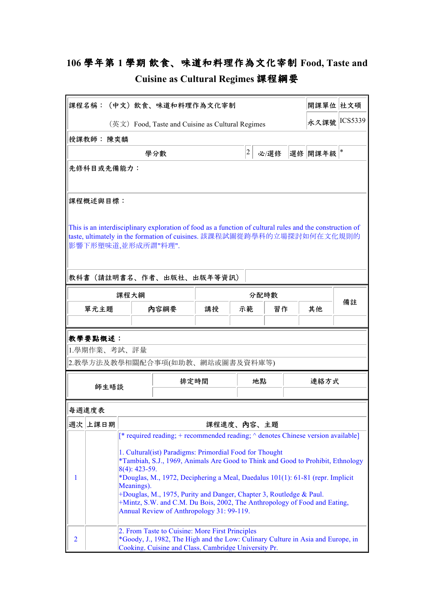## **106 學年第 1 學期 飲⾷、味道和料理作為⽂化宰制 Food, Taste and**

| Cuisine as Cultural Regimes 課程綱要 |  |
|----------------------------------|--|
|----------------------------------|--|

|                                                                                                                                                                                                                                      | 課程名稱:(中文)飲食、味道和料理作為文化宰制                                                                                                                                                                                                                                                                                                                                                                                                                                                                                                                                   |      |                                                                                                                                                                                            |                     |             |               | 開課單位 社文碩 |         |    |
|--------------------------------------------------------------------------------------------------------------------------------------------------------------------------------------------------------------------------------------|-----------------------------------------------------------------------------------------------------------------------------------------------------------------------------------------------------------------------------------------------------------------------------------------------------------------------------------------------------------------------------------------------------------------------------------------------------------------------------------------------------------------------------------------------------------|------|--------------------------------------------------------------------------------------------------------------------------------------------------------------------------------------------|---------------------|-------------|---------------|----------|---------|----|
| (英文) Food, Taste and Cuisine as Cultural Regimes                                                                                                                                                                                     |                                                                                                                                                                                                                                                                                                                                                                                                                                                                                                                                                           |      |                                                                                                                                                                                            |                     |             | 永久課號  ICS5339 |          |         |    |
|                                                                                                                                                                                                                                      | 授課教師: 陳奕麟                                                                                                                                                                                                                                                                                                                                                                                                                                                                                                                                                 |      |                                                                                                                                                                                            |                     |             |               |          |         |    |
|                                                                                                                                                                                                                                      |                                                                                                                                                                                                                                                                                                                                                                                                                                                                                                                                                           |      | 學分數                                                                                                                                                                                        |                     | $ 2\rangle$ | 必/選修          |          | 選修 開課年級 | *  |
|                                                                                                                                                                                                                                      | 先修科目或先備能力:                                                                                                                                                                                                                                                                                                                                                                                                                                                                                                                                                |      |                                                                                                                                                                                            |                     |             |               |          |         |    |
|                                                                                                                                                                                                                                      | 課程概述與目標:                                                                                                                                                                                                                                                                                                                                                                                                                                                                                                                                                  |      |                                                                                                                                                                                            |                     |             |               |          |         |    |
| This is an interdisciplinary exploration of food as a function of cultural rules and the construction of<br>taste, ultimately in the formation of cuisines. 該課程試圖從跨學科的立場探討如何在文化規則的<br>影響下形塑味道,並形成所謂"料理".<br>教科書(請註明書名、作者、出版社、出版年等資訊) |                                                                                                                                                                                                                                                                                                                                                                                                                                                                                                                                                           |      |                                                                                                                                                                                            |                     |             |               |          |         |    |
|                                                                                                                                                                                                                                      |                                                                                                                                                                                                                                                                                                                                                                                                                                                                                                                                                           | 課程大綱 |                                                                                                                                                                                            |                     |             | 分配時數          |          |         |    |
|                                                                                                                                                                                                                                      | 單元主題                                                                                                                                                                                                                                                                                                                                                                                                                                                                                                                                                      |      | 内容綱要                                                                                                                                                                                       | 講授                  | 示範<br>習作    |               |          | 其他      | 備註 |
|                                                                                                                                                                                                                                      |                                                                                                                                                                                                                                                                                                                                                                                                                                                                                                                                                           |      |                                                                                                                                                                                            |                     |             |               |          |         |    |
| 教學要點概述:<br>1.學期作業、考試、評量<br>2.教學方法及教學相關配合事項(如助教、網站或圖書及資料庫等)                                                                                                                                                                           |                                                                                                                                                                                                                                                                                                                                                                                                                                                                                                                                                           |      |                                                                                                                                                                                            |                     |             |               |          |         |    |
| 師生晤談                                                                                                                                                                                                                                 |                                                                                                                                                                                                                                                                                                                                                                                                                                                                                                                                                           | 排定時間 | 地點                                                                                                                                                                                         |                     |             | 連絡方式          |          |         |    |
|                                                                                                                                                                                                                                      |                                                                                                                                                                                                                                                                                                                                                                                                                                                                                                                                                           |      |                                                                                                                                                                                            |                     |             |               |          |         |    |
|                                                                                                                                                                                                                                      | 每週進度表                                                                                                                                                                                                                                                                                                                                                                                                                                                                                                                                                     |      |                                                                                                                                                                                            |                     |             |               |          |         |    |
|                                                                                                                                                                                                                                      | 週次  上課日期                                                                                                                                                                                                                                                                                                                                                                                                                                                                                                                                                  |      |                                                                                                                                                                                            | 課程進度、 <b>內</b> 容、主題 |             |               |          |         |    |
| 1                                                                                                                                                                                                                                    | [* required reading; + recommended reading; $\land$ denotes Chinese version available]<br>1. Cultural(ist) Paradigms: Primordial Food for Thought<br>*Tambiah, S.J., 1969, Animals Are Good to Think and Good to Prohibit, Ethnology<br>$8(4)$ : 423-59.<br>*Douglas, M., 1972, Deciphering a Meal, Daedalus 101(1): 61-81 (repr. Implicit<br>Meanings).<br>+Douglas, M., 1975, Purity and Danger, Chapter 3, Routledge & Paul.<br>+Mintz, S.W. and C.M. Du Bois, 2002, The Anthropology of Food and Eating,<br>Annual Review of Anthropology 31: 99-119. |      |                                                                                                                                                                                            |                     |             |               |          |         |    |
| $\overline{2}$                                                                                                                                                                                                                       |                                                                                                                                                                                                                                                                                                                                                                                                                                                                                                                                                           |      | 2. From Taste to Cuisine: More First Principles<br>*Goody, J., 1982, The High and the Low: Culinary Culture in Asia and Europe, in<br>Cooking, Cuisine and Class, Cambridge University Pr. |                     |             |               |          |         |    |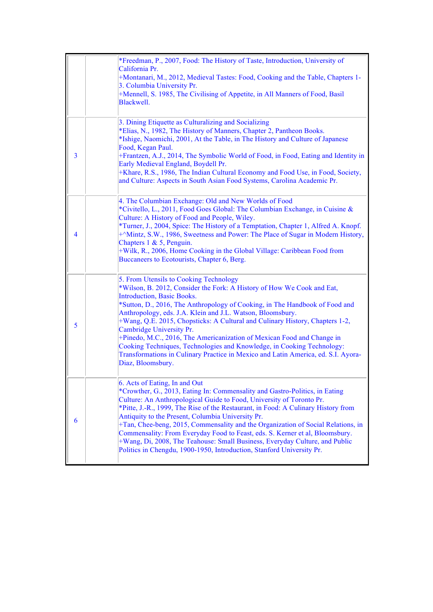|   | *Freedman, P., 2007, Food: The History of Taste, Introduction, University of<br>California Pr.<br>+Montanari, M., 2012, Medieval Tastes: Food, Cooking and the Table, Chapters 1-<br>3. Columbia University Pr.<br>+Mennell, S. 1985, The Civilising of Appetite, in All Manners of Food, Basil<br>Blackwell.                                                                                                                                                                                                                                                                                                                                                                 |
|---|-------------------------------------------------------------------------------------------------------------------------------------------------------------------------------------------------------------------------------------------------------------------------------------------------------------------------------------------------------------------------------------------------------------------------------------------------------------------------------------------------------------------------------------------------------------------------------------------------------------------------------------------------------------------------------|
| 3 | 3. Dining Etiquette as Culturalizing and Socializing<br>*Elias, N., 1982, The History of Manners, Chapter 2, Pantheon Books.<br>*Ishige, Naomichi, 2001, At the Table, in The History and Culture of Japanese<br>Food, Kegan Paul.<br>+Frantzen, A.J., 2014, The Symbolic World of Food, in Food, Eating and Identity in<br>Early Medieval England, Boydell Pr.<br>+Khare, R.S., 1986, The Indian Cultural Economy and Food Use, in Food, Society,<br>and Culture: Aspects in South Asian Food Systems, Carolina Academic Pr.                                                                                                                                                 |
| 4 | 4. The Columbian Exchange: Old and New Worlds of Food<br>*Civitello, L., 2011, Food Goes Global: The Columbian Exchange, in Cuisine &<br>Culture: A History of Food and People, Wiley.<br>*Turner, J., 2004, Spice: The History of a Temptation, Chapter 1, Alfred A. Knopf.<br>+^Mintz, S.W., 1986, Sweetness and Power: The Place of Sugar in Modern History,<br>Chapters 1 & 5, Penguin.<br>+Wilk, R., 2006, Home Cooking in the Global Village: Caribbean Food from<br>Buccaneers to Ecotourists, Chapter 6, Berg.                                                                                                                                                        |
| 5 | 5. From Utensils to Cooking Technology<br>*Wilson, B. 2012, Consider the Fork: A History of How We Cook and Eat,<br><b>Introduction</b> , Basic Books.<br>*Sutton, D., 2016, The Anthropology of Cooking, in The Handbook of Food and<br>Anthropology, eds. J.A. Klein and J.L. Watson, Bloomsbury.<br>+Wang, Q.E. 2015, Chopsticks: A Cultural and Culinary History, Chapters 1-2,<br>Cambridge University Pr.<br>+Pinedo, M.C., 2016, The Americanization of Mexican Food and Change in<br>Cooking Techniques, Technologies and Knowledge, in Cooking Technology:<br>Transformations in Culinary Practice in Mexico and Latin America, ed. S.I. Ayora-<br>Diaz, Bloomsbury. |
| 6 | 6. Acts of Eating, In and Out<br>*Crowther, G., 2013, Eating In: Commensality and Gastro-Politics, in Eating<br>Culture: An Anthropological Guide to Food, University of Toronto Pr.<br>*Pitte, J.-R., 1999, The Rise of the Restaurant, in Food: A Culinary History from<br>Antiquity to the Present, Columbia University Pr.<br>+Tan, Chee-beng, 2015, Commensality and the Organization of Social Relations, in<br>Commensality: From Everyday Food to Feast, eds. S. Kerner et al, Bloomsbury.<br>+Wang, Di, 2008, The Teahouse: Small Business, Everyday Culture, and Public<br>Politics in Chengdu, 1900-1950, Introduction, Stanford University Pr.                    |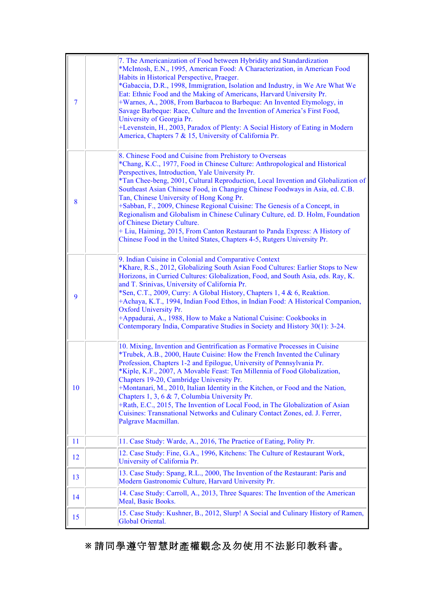| 7  | 7. The Americanization of Food between Hybridity and Standardization<br>*McIntosh, E.N., 1995, American Food: A Characterization, in American Food<br>Habits in Historical Perspective, Praeger.<br>*Gabaccia, D.R., 1998, Immigration, Isolation and Industry, in We Are What We<br>Eat: Ethnic Food and the Making of Americans, Harvard University Pr.<br>+Warnes, A., 2008, From Barbacoa to Barbeque: An Invented Etymology, in<br>Savage Barbeque: Race, Culture and the Invention of America's First Food,<br>University of Georgia Pr.<br>+Levenstein, H., 2003, Paradox of Plenty: A Social History of Eating in Modern<br>America, Chapters 7 & 15, University of California Pr.                                                                         |
|----|--------------------------------------------------------------------------------------------------------------------------------------------------------------------------------------------------------------------------------------------------------------------------------------------------------------------------------------------------------------------------------------------------------------------------------------------------------------------------------------------------------------------------------------------------------------------------------------------------------------------------------------------------------------------------------------------------------------------------------------------------------------------|
| 8  | 8. Chinese Food and Cuisine from Prehistory to Overseas<br>*Chang, K.C., 1977, Food in Chinese Culture: Anthropological and Historical<br>Perspectives, Introduction, Yale University Pr.<br>*Tan Chee-beng, 2001, Cultural Reproduction, Local Invention and Globalization of<br>Southeast Asian Chinese Food, in Changing Chinese Foodways in Asia, ed. C.B.<br>Tan, Chinese University of Hong Kong Pr.<br>+Sabban, F., 2009, Chinese Regional Cuisine: The Genesis of a Concept, in<br>Regionalism and Globalism in Chinese Culinary Culture, ed. D. Holm, Foundation<br>of Chinese Dietary Culture.<br>+ Liu, Haiming, 2015, From Canton Restaurant to Panda Express: A History of<br>Chinese Food in the United States, Chapters 4-5, Rutgers University Pr. |
| 9  | 9. Indian Cuisine in Colonial and Comparative Context<br>*Khare, R.S., 2012, Globalizing South Asian Food Cultures: Earlier Stops to New<br>Horizons, in Curried Cultures: Globalization, Food, and South Asia, eds. Ray, K.<br>and T. Srinivas, University of California Pr.<br>*Sen, C.T., 2009, Curry: A Global History, Chapters 1, 4 & 6, Reaktion.<br>+Achaya, K.T., 1994, Indian Food Ethos, in Indian Food: A Historical Companion,<br><b>Oxford University Pr.</b><br>+Appadurai, A., 1988, How to Make a National Cuisine: Cookbooks in<br>Contemporary India, Comparative Studies in Society and History 30(1): 3-24.                                                                                                                                   |
| 10 | 10. Mixing, Invention and Gentrification as Formative Processes in Cuisine<br>*Trubek, A.B., 2000, Haute Cuisine: How the French Invented the Culinary<br>Profession, Chapters 1-2 and Epilogue, University of Pennsylvania Pr.<br>*Kiple, K.F., 2007, A Movable Feast: Ten Millennia of Food Globalization,<br>Chapters 19-20, Cambridge University Pr.<br>+Montanari, M., 2010, Italian Identity in the Kitchen, or Food and the Nation,<br>Chapters 1, 3, 6 & 7, Columbia University Pr.<br>+Rath, E.C., 2015, The Invention of Local Food, in The Globalization of Asian<br>Cuisines: Transnational Networks and Culinary Contact Zones, ed. J. Ferrer,<br>Palgrave Macmillan.                                                                                 |
| 11 | 11. Case Study: Warde, A., 2016, The Practice of Eating, Polity Pr.                                                                                                                                                                                                                                                                                                                                                                                                                                                                                                                                                                                                                                                                                                |
| 12 | 12. Case Study: Fine, G.A., 1996, Kitchens: The Culture of Restaurant Work,<br>University of California Pr.                                                                                                                                                                                                                                                                                                                                                                                                                                                                                                                                                                                                                                                        |
| 13 | 13. Case Study: Spang, R.L., 2000, The Invention of the Restaurant: Paris and<br>Modern Gastronomic Culture, Harvard University Pr.                                                                                                                                                                                                                                                                                                                                                                                                                                                                                                                                                                                                                                |
| 14 | 14. Case Study: Carroll, A., 2013, Three Squares: The Invention of the American<br>Meal, Basic Books.                                                                                                                                                                                                                                                                                                                                                                                                                                                                                                                                                                                                                                                              |
| 15 | 15. Case Study: Kushner, B., 2012, Slurp! A Social and Culinary History of Ramen,<br>Global Oriental.                                                                                                                                                                                                                                                                                                                                                                                                                                                                                                                                                                                                                                                              |

**※** 請同學遵守智慧財產權觀念及勿使用不法影印教科書。